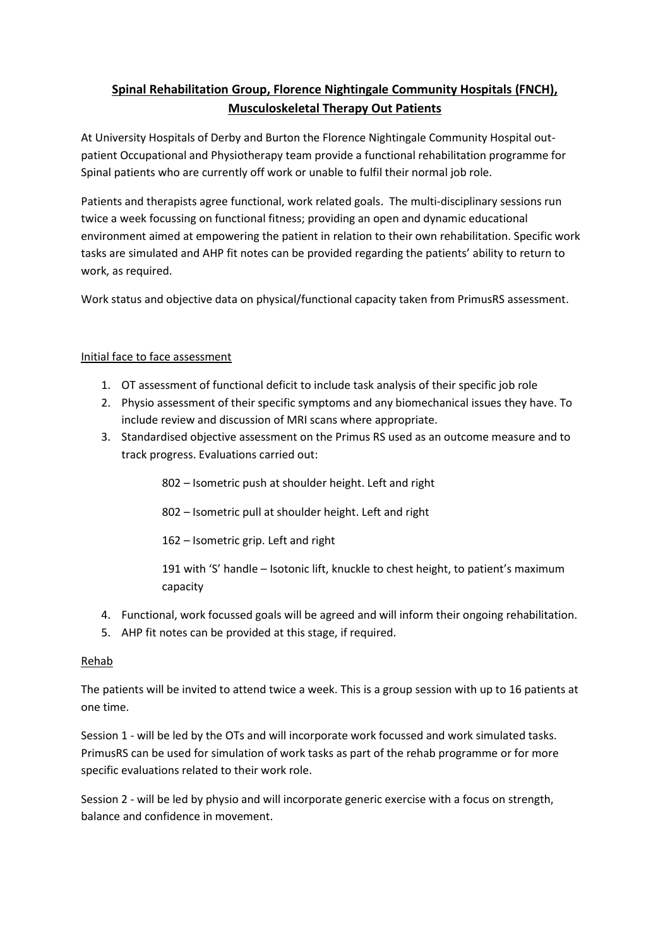# **Spinal Rehabilitation Group, Florence Nightingale Community Hospitals (FNCH), Musculoskeletal Therapy Out Patients**

At University Hospitals of Derby and Burton the Florence Nightingale Community Hospital outpatient Occupational and Physiotherapy team provide a functional rehabilitation programme for Spinal patients who are currently off work or unable to fulfil their normal job role.

Patients and therapists agree functional, work related goals. The multi-disciplinary sessions run twice a week focussing on functional fitness; providing an open and dynamic educational environment aimed at empowering the patient in relation to their own rehabilitation. Specific work tasks are simulated and AHP fit notes can be provided regarding the patients' ability to return to work, as required.

Work status and objective data on physical/functional capacity taken from PrimusRS assessment.

## Initial face to face assessment

- 1. OT assessment of functional deficit to include task analysis of their specific job role
- 2. Physio assessment of their specific symptoms and any biomechanical issues they have. To include review and discussion of MRI scans where appropriate.
- 3. Standardised objective assessment on the Primus RS used as an outcome measure and to track progress. Evaluations carried out:
	- 802 Isometric push at shoulder height. Left and right
	- 802 Isometric pull at shoulder height. Left and right
	- 162 Isometric grip. Left and right
	- 191 with 'S' handle Isotonic lift, knuckle to chest height, to patient's maximum capacity
- 4. Functional, work focussed goals will be agreed and will inform their ongoing rehabilitation.
- 5. AHP fit notes can be provided at this stage, if required.

## Rehab

The patients will be invited to attend twice a week. This is a group session with up to 16 patients at one time.

Session 1 - will be led by the OTs and will incorporate work focussed and work simulated tasks. PrimusRS can be used for simulation of work tasks as part of the rehab programme or for more specific evaluations related to their work role.

Session 2 - will be led by physio and will incorporate generic exercise with a focus on strength, balance and confidence in movement.